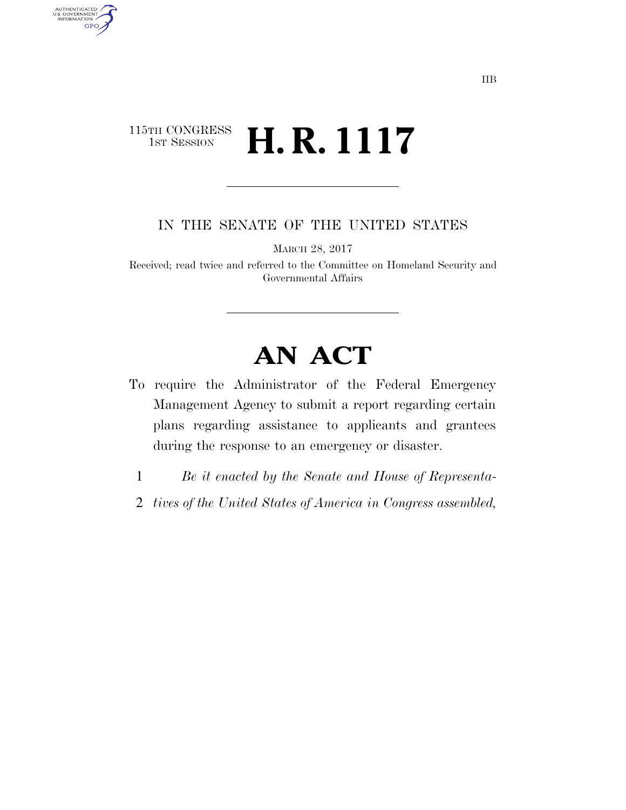## 115TH CONGRESS<br>1st Session H. R. 1117

AUTHENTICATED<br>U.S. GOVERNMENT<br>INFORMATION

**GPO** 

IN THE SENATE OF THE UNITED STATES

MARCH 28, 2017

Received; read twice and referred to the Committee on Homeland Security and Governmental Affairs

## **AN ACT**

- To require the Administrator of the Federal Emergency Management Agency to submit a report regarding certain plans regarding assistance to applicants and grantees during the response to an emergency or disaster.
	- 1 *Be it enacted by the Senate and House of Representa-*
	- 2 *tives of the United States of America in Congress assembled,*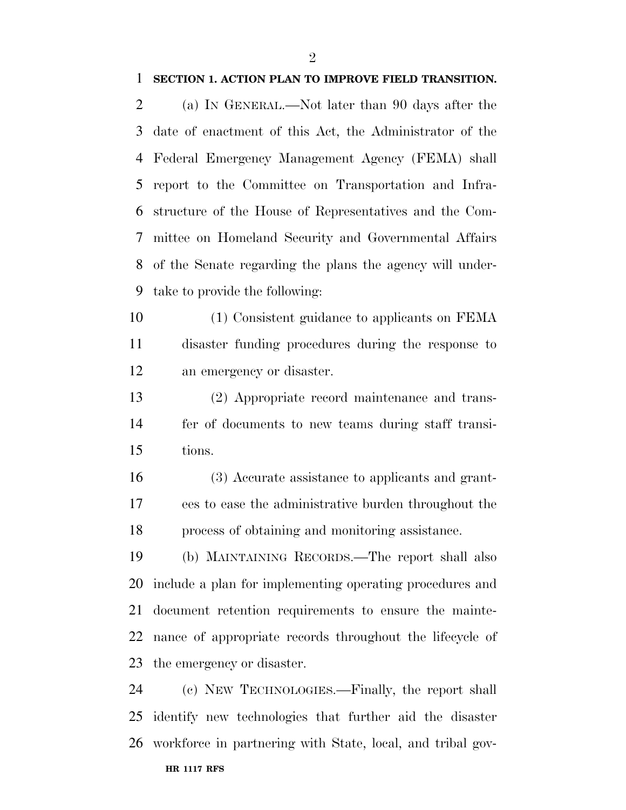## **SECTION 1. ACTION PLAN TO IMPROVE FIELD TRANSITION.**

 (a) IN GENERAL.—Not later than 90 days after the date of enactment of this Act, the Administrator of the Federal Emergency Management Agency (FEMA) shall report to the Committee on Transportation and Infra- structure of the House of Representatives and the Com- mittee on Homeland Security and Governmental Affairs of the Senate regarding the plans the agency will under-take to provide the following:

- (1) Consistent guidance to applicants on FEMA disaster funding procedures during the response to an emergency or disaster.
- (2) Appropriate record maintenance and trans- fer of documents to new teams during staff transi-tions.
- (3) Accurate assistance to applicants and grant- ees to ease the administrative burden throughout the process of obtaining and monitoring assistance.

 (b) MAINTAINING RECORDS.—The report shall also include a plan for implementing operating procedures and document retention requirements to ensure the mainte- nance of appropriate records throughout the lifecycle of the emergency or disaster.

**HR 1117 RFS** (c) NEW TECHNOLOGIES.—Finally, the report shall identify new technologies that further aid the disaster workforce in partnering with State, local, and tribal gov